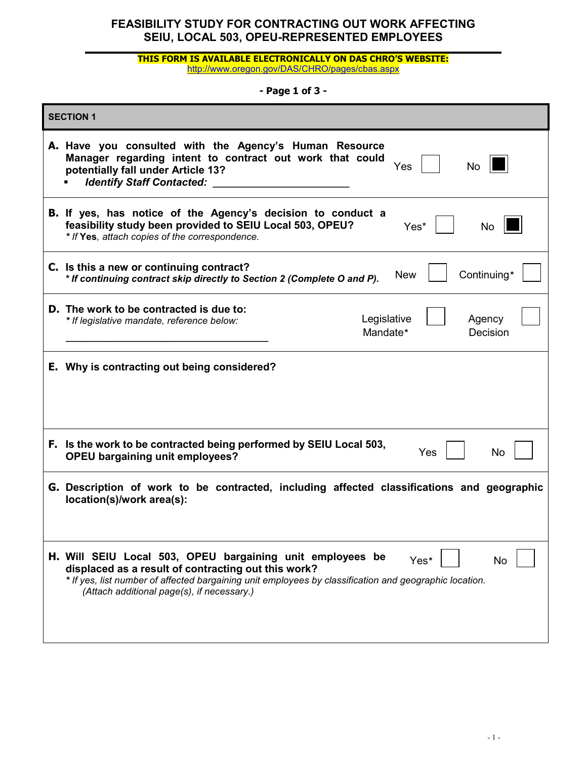#### **THIS FORM IS AVAILABLE ELECTRONICALLY ON DAS CHRO'S WEBSITE:** <http://www.oregon.gov/DAS/CHRO/pages/cbas.aspx>

### **- Page 1 of 3 -**

| <b>SECTION 1</b> |                                                                                                                                                                                                                                                                                        |  |  |  |
|------------------|----------------------------------------------------------------------------------------------------------------------------------------------------------------------------------------------------------------------------------------------------------------------------------------|--|--|--|
|                  | A. Have you consulted with the Agency's Human Resource<br>Manager regarding intent to contract out work that could<br>Yes<br><b>No</b><br>potentially fall under Article 13?<br><b>Identify Staff Contacted:</b>                                                                       |  |  |  |
|                  | <b>B.</b> If yes, has notice of the Agency's decision to conduct a<br>feasibility study been provided to SEIU Local 503, OPEU?<br>Yes*<br><b>No</b><br>* If Yes, attach copies of the correspondence.                                                                                  |  |  |  |
|                  | C. Is this a new or continuing contract?<br>Continuing*<br><b>New</b><br>* If continuing contract skip directly to Section 2 (Complete O and P).                                                                                                                                       |  |  |  |
|                  | D. The work to be contracted is due to:<br>Legislative<br>Agency<br>* If legislative mandate, reference below:<br>Mandate*<br>Decision                                                                                                                                                 |  |  |  |
|                  | E. Why is contracting out being considered?                                                                                                                                                                                                                                            |  |  |  |
|                  | F. Is the work to be contracted being performed by SEIU Local 503,<br><b>Yes</b><br><b>No</b><br><b>OPEU bargaining unit employees?</b>                                                                                                                                                |  |  |  |
|                  | G. Description of work to be contracted, including affected classifications and geographic<br>location(s)/work area(s):                                                                                                                                                                |  |  |  |
|                  | H. Will SEIU Local 503, OPEU bargaining unit employees be<br>Yes*<br>No<br>displaced as a result of contracting out this work?<br>* If yes, list number of affected bargaining unit employees by classification and geographic location.<br>(Attach additional page(s), if necessary.) |  |  |  |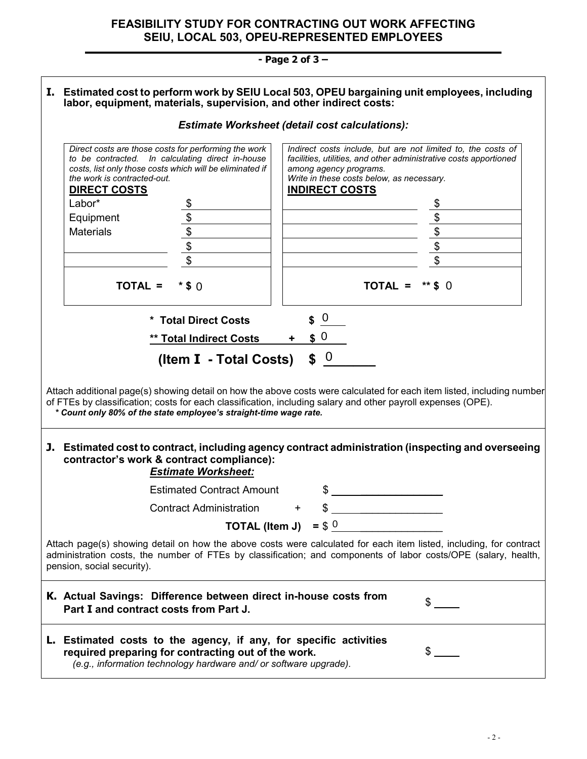# **- Page 2 of 3 –**

| I. Estimated cost to perform work by SEIU Local 503, OPEU bargaining unit employees, including<br>labor, equipment, materials, supervision, and other indirect costs:                                                                                                                                       |                                                                                                                                                                                                                            |                                                                                                                          |                                                                                                                                                                                                                                   |           |  |  |
|-------------------------------------------------------------------------------------------------------------------------------------------------------------------------------------------------------------------------------------------------------------------------------------------------------------|----------------------------------------------------------------------------------------------------------------------------------------------------------------------------------------------------------------------------|--------------------------------------------------------------------------------------------------------------------------|-----------------------------------------------------------------------------------------------------------------------------------------------------------------------------------------------------------------------------------|-----------|--|--|
|                                                                                                                                                                                                                                                                                                             | <b>Estimate Worksheet (detail cost calculations):</b>                                                                                                                                                                      |                                                                                                                          |                                                                                                                                                                                                                                   |           |  |  |
|                                                                                                                                                                                                                                                                                                             | Direct costs are those costs for performing the work<br>to be contracted. In calculating direct in-house<br>costs, list only those costs which will be eliminated if<br>the work is contracted-out.<br><b>DIRECT COSTS</b> |                                                                                                                          | Indirect costs include, but are not limited to, the costs of<br>facilities, utilities, and other administrative costs apportioned<br>among agency programs.<br>Write in these costs below, as necessary.<br><b>INDIRECT COSTS</b> |           |  |  |
|                                                                                                                                                                                                                                                                                                             | Labor*                                                                                                                                                                                                                     |                                                                                                                          |                                                                                                                                                                                                                                   |           |  |  |
|                                                                                                                                                                                                                                                                                                             | Equipment                                                                                                                                                                                                                  |                                                                                                                          |                                                                                                                                                                                                                                   |           |  |  |
|                                                                                                                                                                                                                                                                                                             | <b>Materials</b>                                                                                                                                                                                                           | $\overline{\mathbf{E}}$                                                                                                  |                                                                                                                                                                                                                                   | \$        |  |  |
|                                                                                                                                                                                                                                                                                                             |                                                                                                                                                                                                                            | $\overline{\mathcal{L}}$                                                                                                 |                                                                                                                                                                                                                                   | \$        |  |  |
|                                                                                                                                                                                                                                                                                                             |                                                                                                                                                                                                                            | $\overline{\mathcal{S}}$                                                                                                 |                                                                                                                                                                                                                                   | \$        |  |  |
|                                                                                                                                                                                                                                                                                                             |                                                                                                                                                                                                                            |                                                                                                                          |                                                                                                                                                                                                                                   |           |  |  |
|                                                                                                                                                                                                                                                                                                             | TOTAL =                                                                                                                                                                                                                    | $*$ \$ $\Omega$                                                                                                          | TOTAL =                                                                                                                                                                                                                           | $**$ \$ 0 |  |  |
|                                                                                                                                                                                                                                                                                                             |                                                                                                                                                                                                                            | * Total Direct Costs                                                                                                     | $\overline{0}$                                                                                                                                                                                                                    |           |  |  |
|                                                                                                                                                                                                                                                                                                             |                                                                                                                                                                                                                            | ** Total Indirect Costs                                                                                                  | \$0                                                                                                                                                                                                                               |           |  |  |
|                                                                                                                                                                                                                                                                                                             | $\int 0$<br>(Item I - Total Costs)                                                                                                                                                                                         |                                                                                                                          |                                                                                                                                                                                                                                   |           |  |  |
| Attach additional page(s) showing detail on how the above costs were calculated for each item listed, including number<br>of FTEs by classification; costs for each classification, including salary and other payroll expenses (OPE).<br>* Count only 80% of the state employee's straight-time wage rate. |                                                                                                                                                                                                                            |                                                                                                                          |                                                                                                                                                                                                                                   |           |  |  |
|                                                                                                                                                                                                                                                                                                             | J. Estimated cost to contract, including agency contract administration (inspecting and overseeing<br>contractor's work & contract compliance):<br><b>Estimate Worksheet:</b>                                              |                                                                                                                          |                                                                                                                                                                                                                                   |           |  |  |
|                                                                                                                                                                                                                                                                                                             |                                                                                                                                                                                                                            | <b>Estimated Contract Amount</b>                                                                                         | \$                                                                                                                                                                                                                                |           |  |  |
|                                                                                                                                                                                                                                                                                                             |                                                                                                                                                                                                                            | <b>Contract Administration</b>                                                                                           |                                                                                                                                                                                                                                   |           |  |  |
|                                                                                                                                                                                                                                                                                                             |                                                                                                                                                                                                                            |                                                                                                                          | <b>TOTAL (Item J)</b> = $$^0$                                                                                                                                                                                                     |           |  |  |
| Attach page(s) showing detail on how the above costs were calculated for each item listed, including, for contract<br>administration costs, the number of FTEs by classification; and components of labor costs/OPE (salary, health,<br>pension, social security).                                          |                                                                                                                                                                                                                            |                                                                                                                          |                                                                                                                                                                                                                                   |           |  |  |
|                                                                                                                                                                                                                                                                                                             | Part I and contract costs from Part J.                                                                                                                                                                                     |                                                                                                                          | K. Actual Savings: Difference between direct in-house costs from                                                                                                                                                                  | \$        |  |  |
|                                                                                                                                                                                                                                                                                                             |                                                                                                                                                                                                                            | required preparing for contracting out of the work.<br>(e.g., information technology hardware and/ or software upgrade). | L. Estimated costs to the agency, if any, for specific activities                                                                                                                                                                 | S         |  |  |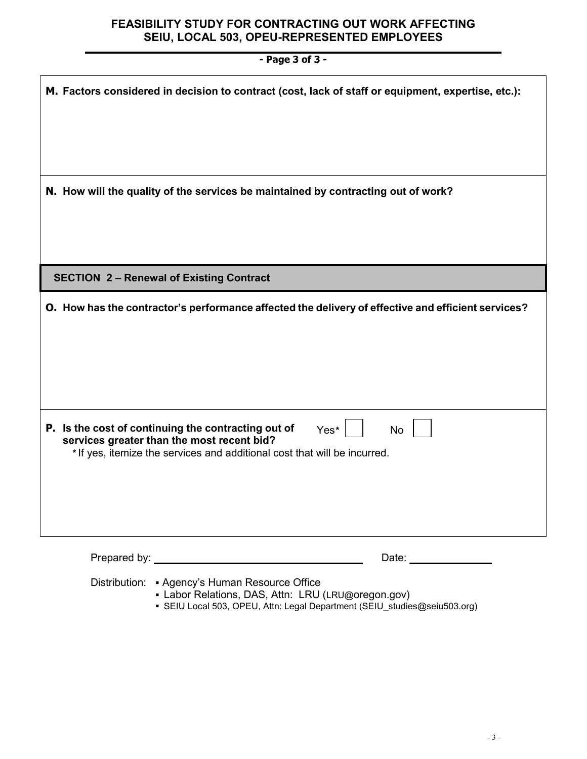| - Page 3 of 3 -                                                                                                                                                                                     |  |  |  |  |
|-----------------------------------------------------------------------------------------------------------------------------------------------------------------------------------------------------|--|--|--|--|
| M. Factors considered in decision to contract (cost, lack of staff or equipment, expertise, etc.):                                                                                                  |  |  |  |  |
|                                                                                                                                                                                                     |  |  |  |  |
| N. How will the quality of the services be maintained by contracting out of work?                                                                                                                   |  |  |  |  |
| <b>SECTION 2- Renewal of Existing Contract</b>                                                                                                                                                      |  |  |  |  |
| O. How has the contractor's performance affected the delivery of effective and efficient services?                                                                                                  |  |  |  |  |
| P. Is the cost of continuing the contracting out of<br>Yes*<br><b>No</b><br>services greater than the most recent bid?<br>* If yes, itemize the services and additional cost that will be incurred. |  |  |  |  |
| Date: ______________                                                                                                                                                                                |  |  |  |  |

Distribution: • Agency's Human Resource Office

- Labor Relations, DAS, Attn: LRU (LRU@oregon.gov)
- SEIU Local 503, OPEU, Attn: Legal Department (SEIU\_studies@seiu503.org)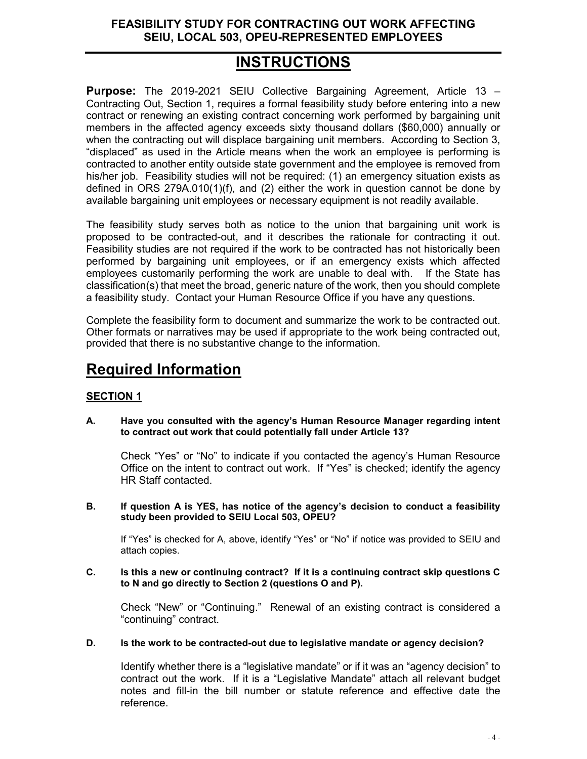# **INSTRUCTIONS**

**Purpose:** The 2019-2021 SEIU Collective Bargaining Agreement, Article 13 – Contracting Out, Section 1, requires a formal feasibility study before entering into a new contract or renewing an existing contract concerning work performed by bargaining unit members in the affected agency exceeds sixty thousand dollars (\$60,000) annually or when the contracting out will displace bargaining unit members. According to Section 3, "displaced" as used in the Article means when the work an employee is performing is contracted to another entity outside state government and the employee is removed from his/her job. Feasibility studies will not be required: (1) an emergency situation exists as defined in ORS 279A.010(1)(f), and (2) either the work in question cannot be done by available bargaining unit employees or necessary equipment is not readily available.

The feasibility study serves both as notice to the union that bargaining unit work is proposed to be contracted-out, and it describes the rationale for contracting it out. Feasibility studies are not required if the work to be contracted has not historically been performed by bargaining unit employees, or if an emergency exists which affected employees customarily performing the work are unable to deal with. If the State has classification(s) that meet the broad, generic nature of the work, then you should complete a feasibility study. Contact your Human Resource Office if you have any questions.

Complete the feasibility form to document and summarize the work to be contracted out. Other formats or narratives may be used if appropriate to the work being contracted out, provided that there is no substantive change to the information.

# **Required Information**

## **SECTION 1**

**A. Have you consulted with the agency's Human Resource Manager regarding intent to contract out work that could potentially fall under Article 13?**

Check "Yes" or "No" to indicate if you contacted the agency's Human Resource Office on the intent to contract out work. If "Yes" is checked; identify the agency HR Staff contacted.

**B. If question A is YES, has notice of the agency's decision to conduct a feasibility study been provided to SEIU Local 503, OPEU?**

If "Yes" is checked for A, above, identify "Yes" or "No" if notice was provided to SEIU and attach copies.

**C. Is this a new or continuing contract? If it is a continuing contract skip questions C to N and go directly to Section 2 (questions O and P).** 

Check "New" or "Continuing." Renewal of an existing contract is considered a "continuing" contract.

**D. Is the work to be contracted-out due to legislative mandate or agency decision?** 

Identify whether there is a "legislative mandate" or if it was an "agency decision" to contract out the work. If it is a "Legislative Mandate" attach all relevant budget notes and fill-in the bill number or statute reference and effective date the reference.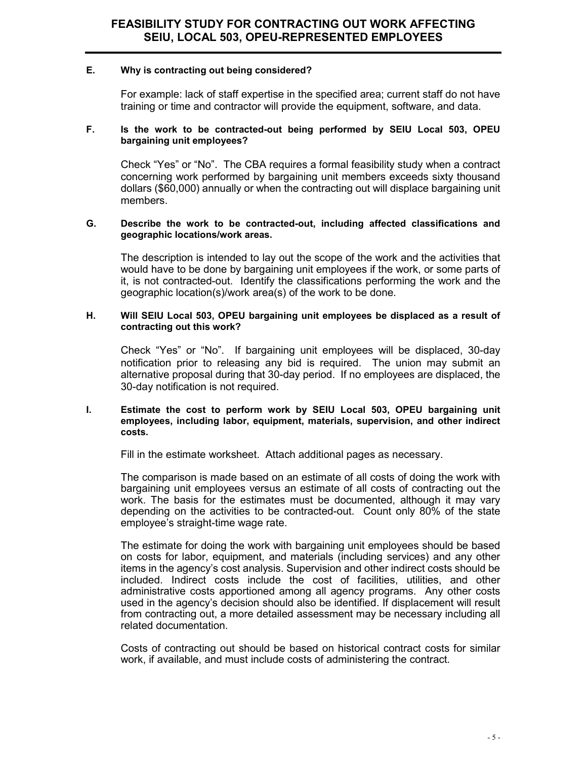#### **E. Why is contracting out being considered?**

For example: lack of staff expertise in the specified area; current staff do not have training or time and contractor will provide the equipment, software, and data.

#### **F. Is the work to be contracted-out being performed by SEIU Local 503, OPEU bargaining unit employees?**

Check "Yes" or "No". The CBA requires a formal feasibility study when a contract concerning work performed by bargaining unit members exceeds sixty thousand dollars (\$60,000) annually or when the contracting out will displace bargaining unit members.

#### **G. Describe the work to be contracted-out, including affected classifications and geographic locations/work areas.**

The description is intended to lay out the scope of the work and the activities that would have to be done by bargaining unit employees if the work, or some parts of it, is not contracted-out. Identify the classifications performing the work and the geographic location(s)/work area(s) of the work to be done.

#### **H. Will SEIU Local 503, OPEU bargaining unit employees be displaced as a result of contracting out this work?**

Check "Yes" or "No". If bargaining unit employees will be displaced, 30-day notification prior to releasing any bid is required. The union may submit an alternative proposal during that 30-day period. If no employees are displaced, the 30-day notification is not required.

#### **I. Estimate the cost to perform work by SEIU Local 503, OPEU bargaining unit employees, including labor, equipment, materials, supervision, and other indirect costs.**

Fill in the estimate worksheet. Attach additional pages as necessary.

The comparison is made based on an estimate of all costs of doing the work with bargaining unit employees versus an estimate of all costs of contracting out the work. The basis for the estimates must be documented, although it may vary depending on the activities to be contracted-out. Count only 80% of the state employee's straight-time wage rate.

The estimate for doing the work with bargaining unit employees should be based on costs for labor, equipment, and materials (including services) and any other items in the agency's cost analysis. Supervision and other indirect costs should be included. Indirect costs include the cost of facilities, utilities, and other administrative costs apportioned among all agency programs. Any other costs used in the agency's decision should also be identified. If displacement will result from contracting out, a more detailed assessment may be necessary including all related documentation.

Costs of contracting out should be based on historical contract costs for similar work, if available, and must include costs of administering the contract.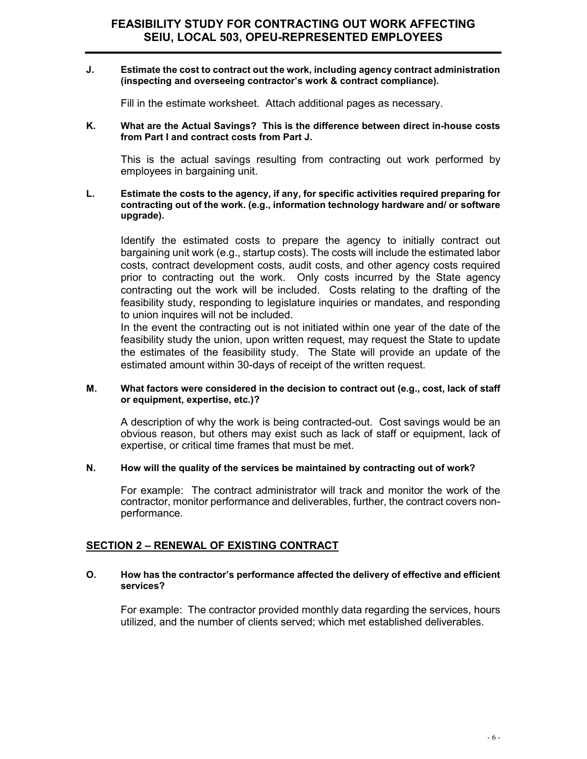#### **J. Estimate the cost to contract out the work, including agency contract administration (inspecting and overseeing contractor's work & contract compliance).**

Fill in the estimate worksheet. Attach additional pages as necessary.

#### **K. What are the Actual Savings? This is the difference between direct in-house costs from Part I and contract costs from Part J.**

This is the actual savings resulting from contracting out work performed by employees in bargaining unit.

#### **L. Estimate the costs to the agency, if any, for specific activities required preparing for contracting out of the work. (e.g., information technology hardware and/ or software upgrade).**

Identify the estimated costs to prepare the agency to initially contract out bargaining unit work (e.g., startup costs). The costs will include the estimated labor costs, contract development costs, audit costs, and other agency costs required prior to contracting out the work. Only costs incurred by the State agency contracting out the work will be included. Costs relating to the drafting of the feasibility study, responding to legislature inquiries or mandates, and responding to union inquires will not be included.

In the event the contracting out is not initiated within one year of the date of the feasibility study the union, upon written request, may request the State to update the estimates of the feasibility study. The State will provide an update of the estimated amount within 30-days of receipt of the written request.

#### **M. What factors were considered in the decision to contract out (e.g., cost, lack of staff or equipment, expertise, etc.)?**

A description of why the work is being contracted-out. Cost savings would be an obvious reason, but others may exist such as lack of staff or equipment, lack of expertise, or critical time frames that must be met.

#### **N. How will the quality of the services be maintained by contracting out of work?**

For example: The contract administrator will track and monitor the work of the contractor, monitor performance and deliverables, further, the contract covers nonperformance.

### **SECTION 2 – RENEWAL OF EXISTING CONTRACT**

#### **O. How has the contractor's performance affected the delivery of effective and efficient services?**

For example: The contractor provided monthly data regarding the services, hours utilized, and the number of clients served; which met established deliverables.